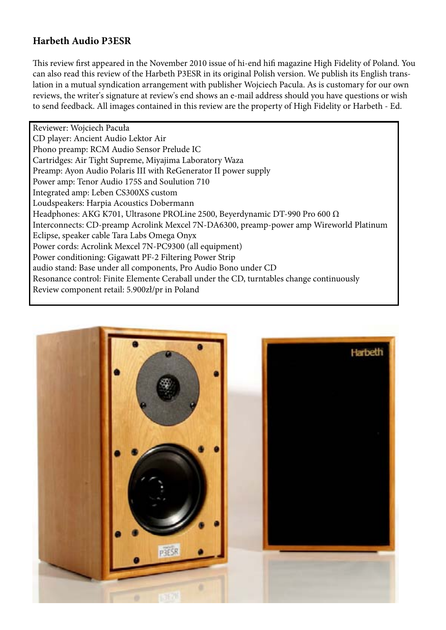## **Harbeth Audio P3ESR**

This review first appeared in the November 2010 issue of hi-end hifi magazine High Fidelity of Poland. You can also read this review of the Harbeth P3ESR in its original Polish version. We publish its English translation in a mutual syndication arrangement with publisher Wojciech Pacula. As is customary for our own reviews, the writer's signature at review's end shows an e-mail address should you have questions or wish to send feedback. All images contained in this review are the property of High Fidelity or Harbeth - Ed.

Reviewer: Wojciech Pacuła CD player: Ancient Audio Lektor Air Phono preamp: RCM Audio Sensor Prelude IC Cartridges: Air Tight Supreme, Miyajima Laboratory Waza Preamp: Ayon Audio Polaris III with ReGenerator II power supply Power amp: Tenor Audio 175S and Soulution 710 Integrated amp: Leben CS300XS custom Loudspeakers: Harpia Acoustics Dobermann Headphones: AKG K701, Ultrasone PROLine 2500, Beyerdynamic DT-990 Pro 600 Ω Interconnects: CD-preamp Acrolink Mexcel 7N-DA6300, preamp-power amp Wireworld Platinum Eclipse, speaker cable Tara Labs Omega Onyx Power cords: Acrolink Mexcel 7N-PC9300 (all equipment) Power conditioning: Gigawatt PF-2 Filtering Power Strip audio stand: Base under all components, Pro Audio Bono under CD Resonance control: Finite Elemente Ceraball under the CD, turntables change continuously Review component retail: 5.900zł/pr in Poland

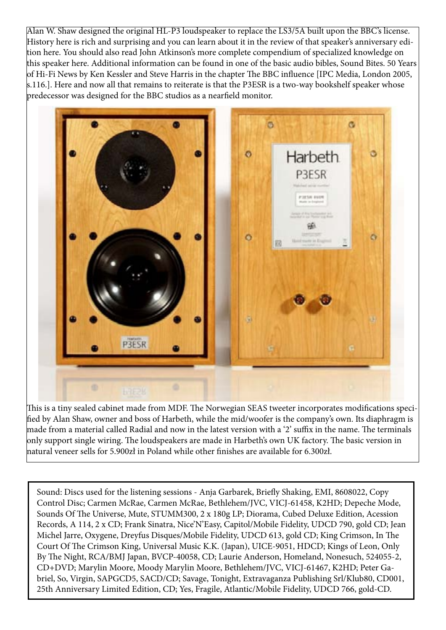Alan W. Shaw designed the original HL-P3 loudspeaker to replace the LS3/5A built upon the BBC's license. History here is rich and surprising and you can learn about it in the review of that speaker's anniversary edition here. You should also read John Atkinson's more complete compendium of specialized knowledge on this speaker here. Additional information can be found in one of the basic audio bibles, Sound Bites. 50 Years of Hi-Fi News by Ken Kessler and Steve Harris in the chapter The BBC influence [IPC Media, London 2005, s.116.]. Here and now all that remains to reiterate is that the P3ESR is a two-way bookshelf speaker whose predecessor was designed for the BBC studios as a nearfield monitor.



This is a tiny sealed cabinet made from MDF. The Norwegian SEAS tweeter incorporates modifications specified by Alan Shaw, owner and boss of Harbeth, while the mid/woofer is the company's own. Its diaphragm is made from a material called Radial and now in the latest version with a '2' suffix in the name. The terminals only support single wiring. The loudspeakers are made in Harbeth's own UK factory. The basic version in natural veneer sells for 5.900zł in Poland while other finishes are available for 6.300zł.

Sound: Discs used for the listening sessions - Anja Garbarek, Briefly Shaking, EMI, 8608022, Copy Control Disc; Carmen McRae, Carmen McRae, Bethlehem/JVC, VICJ-61458, K2HD; Depeche Mode, Sounds Of The Universe, Mute, STUMM300, 2 x 180g LP; Diorama, Cubed Deluxe Edition, Acession Records, A 114, 2 x CD; Frank Sinatra, Nice'N'Easy, Capitol/Mobile Fidelity, UDCD 790, gold CD; Jean Michel Jarre, Oxygene, Dreyfus Disques/Mobile Fidelity, UDCD 613, gold CD; King Crimson, In The Court Of The Crimson King, Universal Music K.K. (Japan), UICE-9051, HDCD; Kings of Leon, Only By The Night, RCA/BMJ Japan, BVCP-40058, CD; Laurie Anderson, Homeland, Nonesuch, 524055-2, CD+DVD; Marylin Moore, Moody Marylin Moore, Bethlehem/JVC, VICJ-61467, K2HD; Peter Gabriel, So, Virgin, SAPGCD5, SACD/CD; Savage, Tonight, Extravaganza Publishing Srl/Klub80, CD001, 25th Anniversary Limited Edition, CD; Yes, Fragile, Atlantic/Mobile Fidelity, UDCD 766, gold-CD.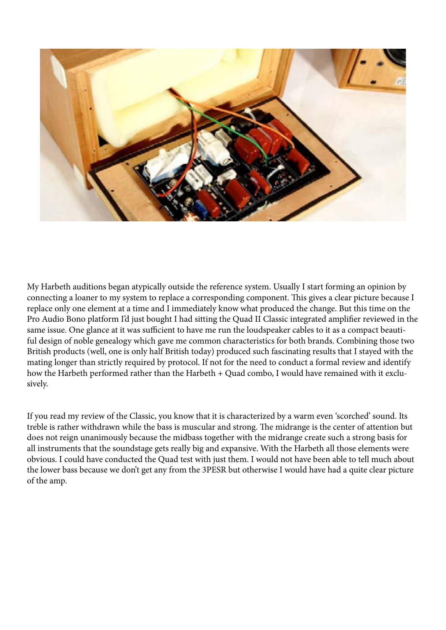

My Harbeth auditions began atypically outside the reference system. Usually I start forming an opinion by connecting a loaner to my system to replace a corresponding component. This gives a clear picture because I replace only one element at a time and I immediately know what produced the change. But this time on the Pro Audio Bono platform I'd just bought I had sitting the Quad II Classic integrated amplifier reviewed in the same issue. One glance at it was sufficient to have me run the loudspeaker cables to it as a compact beautiful design of noble genealogy which gave me common characteristics for both brands. Combining those two British products (well, one is only half British today) produced such fascinating results that I stayed with the mating longer than strictly required by protocol. If not for the need to conduct a formal review and identify how the Harbeth performed rather than the Harbeth + Quad combo, I would have remained with it exclusively.

If you read my review of the Classic, you know that it is characterized by a warm even 'scorched' sound. Its treble is rather withdrawn while the bass is muscular and strong. The midrange is the center of attention but does not reign unanimously because the midbass together with the midrange create such a strong basis for all instruments that the soundstage gets really big and expansive. With the Harbeth all those elements were obvious. I could have conducted the Quad test with just them. I would not have been able to tell much about the lower bass because we don't get any from the 3PESR but otherwise I would have had a quite clear picture of the amp.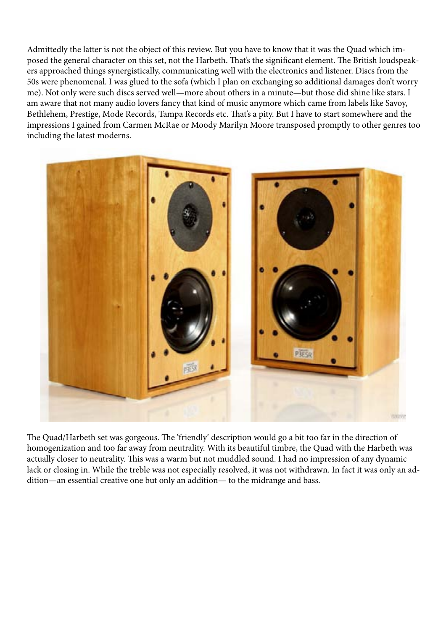Admittedly the latter is not the object of this review. But you have to know that it was the Quad which imposed the general character on this set, not the Harbeth. That's the significant element. The British loudspeakers approached things synergistically, communicating well with the electronics and listener. Discs from the 50s were phenomenal. I was glued to the sofa (which I plan on exchanging so additional damages don't worry me). Not only were such discs served well—more about others in a minute—but those did shine like stars. I am aware that not many audio lovers fancy that kind of music anymore which came from labels like Savoy, Bethlehem, Prestige, Mode Records, Tampa Records etc. That's a pity. But I have to start somewhere and the impressions I gained from Carmen McRae or Moody Marilyn Moore transposed promptly to other genres too including the latest moderns.



The Quad/Harbeth set was gorgeous. The 'friendly' description would go a bit too far in the direction of homogenization and too far away from neutrality. With its beautiful timbre, the Quad with the Harbeth was actually closer to neutrality. This was a warm but not muddled sound. I had no impression of any dynamic lack or closing in. While the treble was not especially resolved, it was not withdrawn. In fact it was only an addition—an essential creative one but only an addition— to the midrange and bass.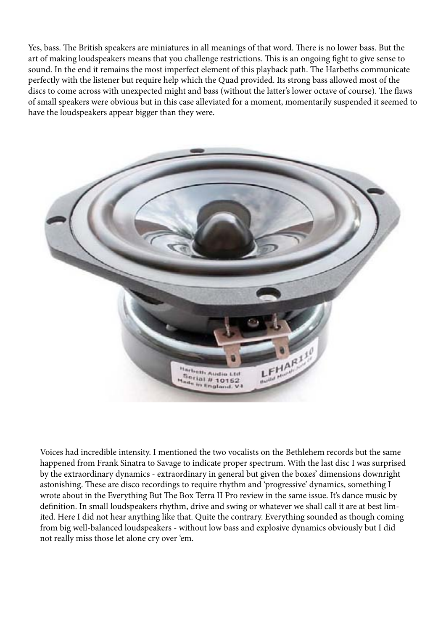Yes, bass. The British speakers are miniatures in all meanings of that word. There is no lower bass. But the art of making loudspeakers means that you challenge restrictions. This is an ongoing fight to give sense to sound. In the end it remains the most imperfect element of this playback path. The Harbeths communicate perfectly with the listener but require help which the Quad provided. Its strong bass allowed most of the discs to come across with unexpected might and bass (without the latter's lower octave of course). The flaws of small speakers were obvious but in this case alleviated for a moment, momentarily suspended it seemed to have the loudspeakers appear bigger than they were.



Voices had incredible intensity. I mentioned the two vocalists on the Bethlehem records but the same happened from Frank Sinatra to Savage to indicate proper spectrum. With the last disc I was surprised by the extraordinary dynamics - extraordinary in general but given the boxes' dimensions downright astonishing. These are disco recordings to require rhythm and 'progressive' dynamics, something I wrote about in the Everything But The Box Terra II Pro review in the same issue. It's dance music by definition. In small loudspeakers rhythm, drive and swing or whatever we shall call it are at best limited. Here I did not hear anything like that. Quite the contrary. Everything sounded as though coming from big well-balanced loudspeakers - without low bass and explosive dynamics obviously but I did not really miss those let alone cry over 'em.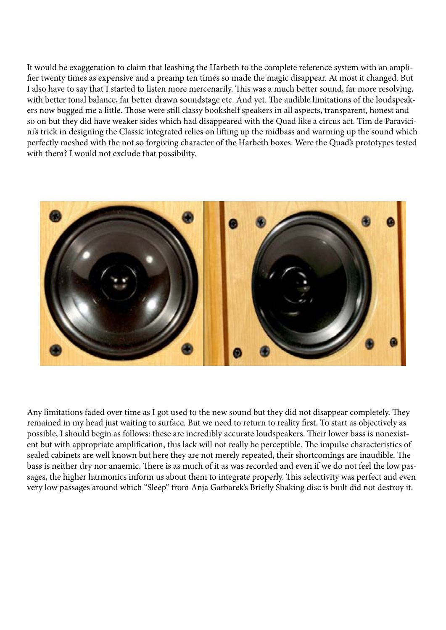It would be exaggeration to claim that leashing the Harbeth to the complete reference system with an amplifier twenty times as expensive and a preamp ten times so made the magic disappear. At most it changed. But I also have to say that I started to listen more mercenarily. This was a much better sound, far more resolving, with better tonal balance, far better drawn soundstage etc. And yet. The audible limitations of the loudspeakers now bugged me a little. Those were still classy bookshelf speakers in all aspects, transparent, honest and so on but they did have weaker sides which had disappeared with the Quad like a circus act. Tim de Paravicini's trick in designing the Classic integrated relies on lifting up the midbass and warming up the sound which perfectly meshed with the not so forgiving character of the Harbeth boxes. Were the Quad's prototypes tested with them? I would not exclude that possibility.



Any limitations faded over time as I got used to the new sound but they did not disappear completely. They remained in my head just waiting to surface. But we need to return to reality first. To start as objectively as possible, I should begin as follows: these are incredibly accurate loudspeakers. Their lower bass is nonexistent but with appropriate amplification, this lack will not really be perceptible. The impulse characteristics of sealed cabinets are well known but here they are not merely repeated, their shortcomings are inaudible. The bass is neither dry nor anaemic. There is as much of it as was recorded and even if we do not feel the low passages, the higher harmonics inform us about them to integrate properly. This selectivity was perfect and even very low passages around which "Sleep" from Anja Garbarek's Briefly Shaking disc is built did not destroy it.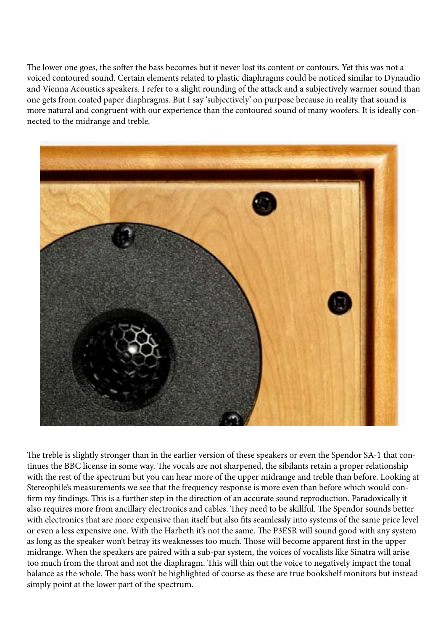The lower one goes, the softer the bass becomes but it never lost its content or contours. Yet this was not a voiced contoured sound. Certain elements related to plastic diaphragms could be noticed similar to Dynaudio and Vienna Acoustics speakers. I refer to a slight rounding of the attack and a subjectively warmer sound than one gets from coated paper diaphragms. But I say 'subjectively' on purpose because in reality that sound is more natural and congruent with our experience than the contoured sound of many woofers. It is ideally connected to the midrange and treble.



The treble is slightly stronger than in the earlier version of these speakers or even the Spendor SA-1 that continues the BBC license in some way. The vocals are not sharpened, the sibilants retain a proper relationship with the rest of the spectrum but you can hear more of the upper midrange and treble than before. Looking at Stereophile's measurements we see that the frequency response is more even than before which would confirm my findings. This is a further step in the direction of an accurate sound reproduction. Paradoxically it also requires more from ancillary electronics and cables. They need to be skillful. The Spendor sounds better with electronics that are more expensive than itself but also fits seamlessly into systems of the same price level or even a less expensive one. With the Harbeth it's not the same. The P3ESR will sound good with any system as long as the speaker won't betray its weaknesses too much. Those will become apparent first in the upper midrange. When the speakers are paired with a sub-par system, the voices of vocalists like Sinatra will arise too much from the throat and not the diaphragm. This will thin out the voice to negatively impact the tonal balance as the whole. The bass won't be highlighted of course as these are true bookshelf monitors but instead simply point at the lower part of the spectrum.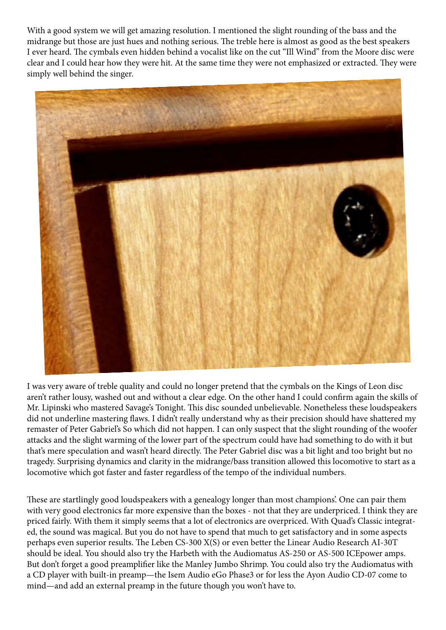With a good system we will get amazing resolution. I mentioned the slight rounding of the bass and the midrange but those are just hues and nothing serious. The treble here is almost as good as the best speakers I ever heard. The cymbals even hidden behind a vocalist like on the cut "Ill Wind" from the Moore disc were clear and I could hear how they were hit. At the same time they were not emphasized or extracted. They were simply well behind the singer.



I was very aware of treble quality and could no longer pretend that the cymbals on the Kings of Leon disc aren't rather lousy, washed out and without a clear edge. On the other hand I could confirm again the skills of Mr. Lipinski who mastered Savage's Tonight. This disc sounded unbelievable. Nonetheless these loudspeakers did not underline mastering flaws. I didn't really understand why as their precision should have shattered my remaster of Peter Gabriel's So which did not happen. I can only suspect that the slight rounding of the woofer attacks and the slight warming of the lower part of the spectrum could have had something to do with it but that's mere speculation and wasn't heard directly. The Peter Gabriel disc was a bit light and too bright but no tragedy. Surprising dynamics and clarity in the midrange/bass transition allowed this locomotive to start as a locomotive which got faster and faster regardless of the tempo of the individual numbers.

 These are startlingly good loudspeakers with a genealogy longer than most champions'. One can pair them with very good electronics far more expensive than the boxes - not that they are underpriced. I think they are with very good electronics far more expensive than the boxes - not that they are underpriced. I think they are priced fairly. With them it simply seems that a lot of electronics are overpriced. With Quad's Classic integrated, the sound was magical. But you do not have to spend that much to get satisfactory and in some aspects perhaps even superior results. The Leben CS-300 X(S) or even better the Linear Audio Research AI-30T should be ideal. You should also try the Harbeth with the Audiomatus AS-250 or AS-500 ICEpower amps. But don't forget a good preamplifier like the Manley Jumbo Shrimp. You could also try the Audiomatus with a CD player with built-in preamp—the Isem Audio eGo Phase3 or for less the Ayon Audio CD-07 come to mind—and add an external preamp in the future though you won't have to.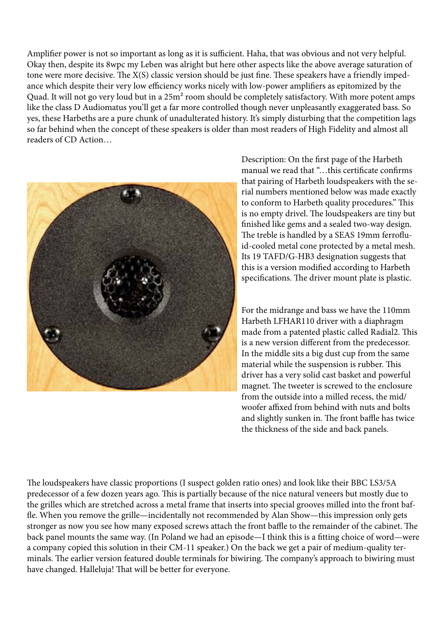Amplifier power is not so important as long as it is sufficient. Haha, that was obvious and not very helpful. Okay then, despite its 8wpc my Leben was alright but here other aspects like the above average saturation of tone were more decisive. The X(S) classic version should be just fine. These speakers have a friendly impedance which despite their very low efficiency works nicely with low-power amplifiers as epitomized by the Quad. It will not go very loud but in a 25m<sup>2</sup> room should be completely satisfactory. With more potent amps like the class D Audiomatus you'll get a far more controlled though never unpleasantly exaggerated bass. So yes, these Harbeths are a pure chunk of unadulterated history. It's simply disturbing that the competition lags so far behind when the concept of these speakers is older than most readers of High Fidelity and almost all readers of CD Action…



Description: On the first page of the Harbeth manual we read that "…this certificate confirms that pairing of Harbeth loudspeakers with the serial numbers mentioned below was made exactly to conform to Harbeth quality procedures." This is no empty drivel. The loudspeakers are tiny but finished like gems and a sealed two-way design. The treble is handled by a SEAS 19mm ferrofluid-cooled metal cone protected by a metal mesh. Its 19 TAFD/G-HB3 designation suggests that this is a version modified according to Harbeth specifications. The driver mount plate is plastic.

For the midrange and bass we have the 110mm Harbeth LFHAR110 driver with a diaphragm made from a patented plastic called Radial2. This is a new version different from the predecessor. In the middle sits a big dust cup from the same material while the suspension is rubber. This driver has a very solid cast basket and powerful magnet. The tweeter is screwed to the enclosure from the outside into a milled recess, the mid/ woofer affixed from behind with nuts and bolts and slightly sunken in. The front baffle has twice the thickness of the side and back panels.

The loudspeakers have classic proportions (I suspect golden ratio ones) and look like their BBC LS3/5A predecessor of a few dozen years ago. This is partially because of the nice natural veneers but mostly due to the grilles which are stretched across a metal frame that inserts into special grooves milled into the front baffle. When you remove the grille—incidentally not recommended by Alan Show—this impression only gets stronger as now you see how many exposed screws attach the front baffle to the remainder of the cabinet. The back panel mounts the same way. (In Poland we had an episode—I think this is a fitting choice of word—were a company copied this solution in their CM-11 speaker.) On the back we get a pair of medium-quality terminals. The earlier version featured double terminals for biwiring. The company's approach to biwiring must have changed. Halleluja! That will be better for everyone.